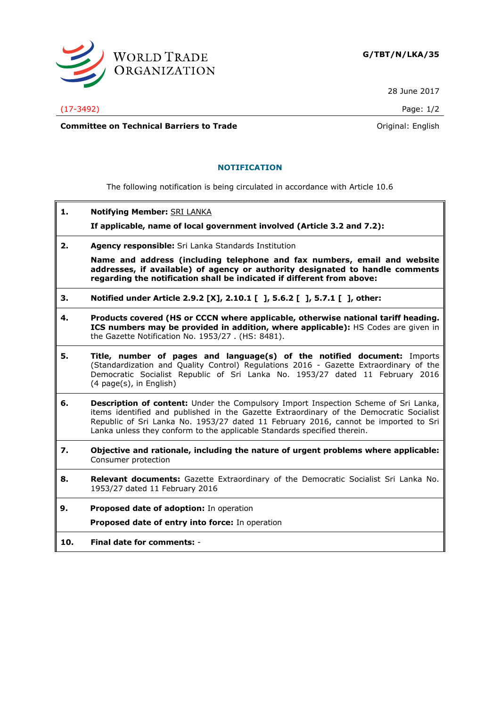

28 June 2017

## (17-3492) Page: 1/2

**Committee on Technical Barriers to Trade Committee on Technical Barriers to Trade Original: English** 

## **NOTIFICATION**

The following notification is being circulated in accordance with Article 10.6

**1. Notifying Member:** SRI LANKA

**If applicable, name of local government involved (Article 3.2 and 7.2):**

**2. Agency responsible:** Sri Lanka Standards Institution

**Name and address (including telephone and fax numbers, email and website addresses, if available) of agency or authority designated to handle comments regarding the notification shall be indicated if different from above:**

- **3. Notified under Article 2.9.2 [X], 2.10.1 [ ], 5.6.2 [ ], 5.7.1 [ ], other:**
- **4. Products covered (HS or CCCN where applicable, otherwise national tariff heading. ICS numbers may be provided in addition, where applicable):** HS Codes are given in the Gazette Notification No. 1953/27 . (HS: 8481).
- **5. Title, number of pages and language(s) of the notified document:** Imports (Standardization and Quality Control) Regulations 2016 - Gazette Extraordinary of the Democratic Socialist Republic of Sri Lanka No. 1953/27 dated 11 February 2016 (4 page(s), in English)
- **6. Description of content:** Under the Compulsory Import Inspection Scheme of Sri Lanka, items identified and published in the Gazette Extraordinary of the Democratic Socialist Republic of Sri Lanka No. 1953/27 dated 11 February 2016, cannot be imported to Sri Lanka unless they conform to the applicable Standards specified therein.
- **7. Objective and rationale, including the nature of urgent problems where applicable:**  Consumer protection
- **8. Relevant documents:** Gazette Extraordinary of the Democratic Socialist Sri Lanka No. 1953/27 dated 11 February 2016

**9. Proposed date of adoption:** In operation **Proposed date of entry into force:** In operation

**10. Final date for comments:** -